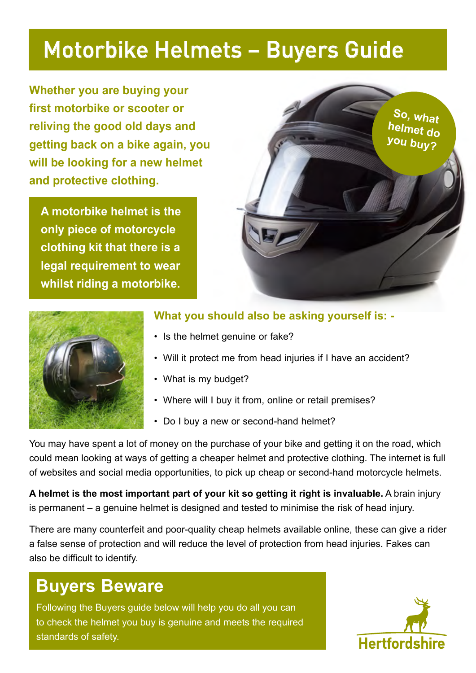### Motorbike Helmets – Buyers Guide

**Whether you are buying your first motorbike or scooter or reliving the good old days and getting back on a bike again, you will be looking for a new helmet and protective clothing.** 

**A motorbike helmet is the only piece of motorcycle clothing kit that there is a legal requirement to wear whilst riding a motorbike.**





#### **What you should also be asking yourself is: -**

- Is the helmet genuine or fake?
- Will it protect me from head injuries if I have an accident?
- What is my budget?
- Where will I buy it from, online or retail premises?
- Do I buy a new or second-hand helmet?

You may have spent a lot of money on the purchase of your bike and getting it on the road, which could mean looking at ways of getting a cheaper helmet and protective clothing. The internet is full of websites and social media opportunities, to pick up cheap or second-hand motorcycle helmets.

**A helmet is the most important part of your kit so getting it right is invaluable.** A brain injury is permanent – a genuine helmet is designed and tested to minimise the risk of head injury.

There are many counterfeit and poor-quality cheap helmets available online, these can give a rider a false sense of protection and will reduce the level of protection from head injuries. Fakes can also be difficult to identify.

### **Buyers Beware**

Following the Buyers guide below will help you do all you can to check the helmet you buy is genuine and meets the required standards of safety.

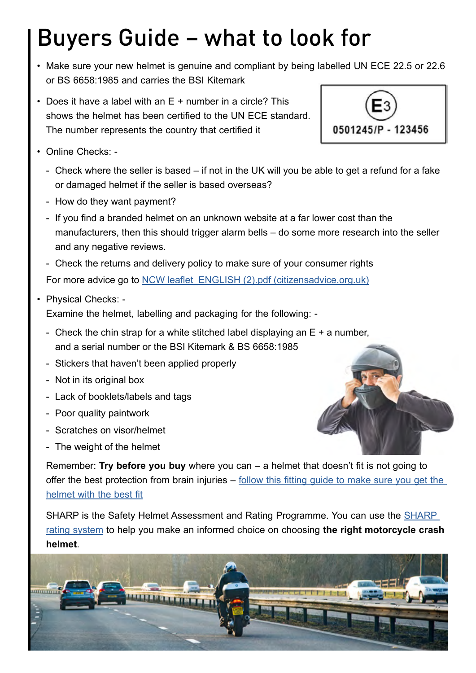# Buyers Guide – what to look for

- Make sure your new helmet is genuine and compliant by being labelled UN ECE 22.5 or 22.6 or BS 6658:1985 and carries the BSI Kitemark
- Does it have a label with an E + number in a circle? This shows the helmet has been certified to the UN ECE standard. The number represents the country that certified it
- Online Checks:
	- Check where the seller is based if not in the UK will you be able to get a refund for a fake or damaged helmet if the seller is based overseas?
	- How do they want payment?
	- If you find a branded helmet on an unknown website at a far lower cost than the manufacturers, then this should trigger alarm bells – do some more research into the seller and any negative reviews.
	- Check the returns and delivery policy to make sure of your consumer rights

For more advice go to NCW leaflet ENGLISH (2).pdf (citizensadvice.org.uk)

• Physical Checks: -

Examine the helmet, labelling and packaging for the following: -

- Check the chin strap for a white stitched label displaying an  $E + a$  number, and a serial number or the BSI Kitemark & BS 6658:1985
- Stickers that haven't been applied properly
- Not in its original box
- Lack of booklets/labels and tags
- Poor quality paintwork
- Scratches on visor/helmet
- The weight of the helmet

Remember: **Try before you buy** where you can – a helmet that doesn't fit is not going to offer the best protection from brain injuries – follow this fitting guide to make sure you get the [helmet with the best fit](https://sharp.dft.gov.uk/get-the-right-fit/)

SHARP is the Safety Helmet Assessment and Rating Programme. You can use the SHARP [rating system](https://sharp.dft.gov.uk/) to help you make an informed choice on choosing **the right motorcycle crash helmet**.